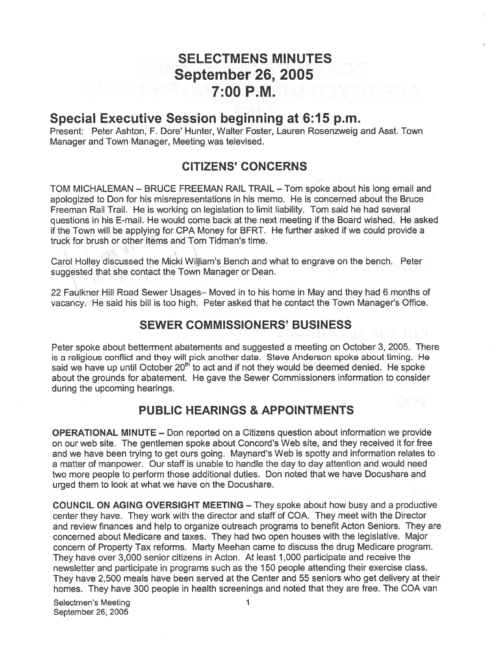# SELECTMENS MINUTES September 26, 2005 7:00 PM.

# Special Executive Session beginning at 6:15 p.m.

Present: Peter Ashton, F. Dore' Hunter, Walter Foster, Lauren Rosenzweig and Asst. Town Manager and Town Manager, Meeting was televised.

# CITIZENS' CONCERNS

TOM MICHALEMAN — BRUCE FREEMAN RAIL TRAIL — Tom spoke about his long email and apologized to Don for his misrepresentations in his memo. He is concerned about the Bruce Freeman Rail Trail. He is working on legislation to limit liability. Tom said he had several questions in his E-mail. He would come back at the next meeting if the Board wished. He asked if the Town will be applying for CPA Money for BFRT. He further asked if we could provide <sup>a</sup> truck for brush or other items and Tom Tidman's time.

Carol Holley discussed the Micki William's Bench and what to engrave on the bench. Peter suggested that she contact the Town Manager or Dean.

22 Faulkner Hill Road Sewer Usages— Moved in to his home in May and they had 6 months of vacancy. He said his bill is too high. Peter asked that he contact the Town Manager's Office.

# SEWER COMMISSIONERS' BUSINESS

Peter spoke about betterment abatements and suggested <sup>a</sup> meeting on October 3, 2005. There is <sup>a</sup> religious conflict and they will pick another date. Steve Anderson spoke about timing. He said we have up until October 20<sup>th</sup> to act and if not they would be deemed denied. He spoke about the grounds for abatement. He gave the Sewer Commissioners information to consider during the upcoming hearings.

# PUBLIC HEARINGS & APPOINTMENTS

OPERATIONAL MINUTE — Don reported on <sup>a</sup> Citizens question about information we provide on our web site. The gentlemen spoke about Concord's Web site, and they received it for free and we have been trying to ge<sup>t</sup> ours going. Maynard's Web is spotty and information relates to <sup>a</sup> matter of manpower. Our staff is unable to handle the day to day attention and would need two more people to perform those additional duties. Don noted that we have Docushare and urged them to look at what we have on the Docushare.

COUNCIL ON AGING OVERSIGHT MEETING — They spoke about how busy and <sup>a</sup> productive center they have. They work with the director and staff of COA. They meet with the Director and review finances and help to organize outreach programs to benefit Acton Seniors. They are concerned about Medicare and taxes. They had two open houses with the legislative. Major concern of Property Tax reforms. Marty Meehan came to discuss the drug Medicare program. They have over 3,000 senior citizens in Acton. At least 1,000 participate and receive the newsletter and participate in programs such as the 150 people attending their exercise class. They have 2,500 meals have been served at the Center and 55 seniors who ge<sup>t</sup> delivery at their homes. They have 300 people in health screenings and noted that they are free. The COA van

Selectmen's Meeting 1 September 26, 2005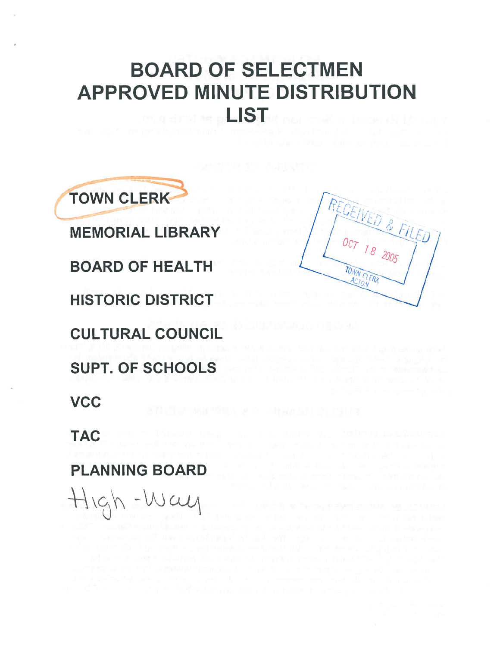# BOARD OF SELECTMEN APPROVED MINUTE DISTRIBUTION LIST



MEMORIAL LIBRARY BOARD OF HEALTH HISTORIC DISTRICT CULTURAL COUNCIL SUPT. OF SCHOOLS **VCC** 

TAC

PLANNING BOARD

 $H$  $\varphi$ h -Way

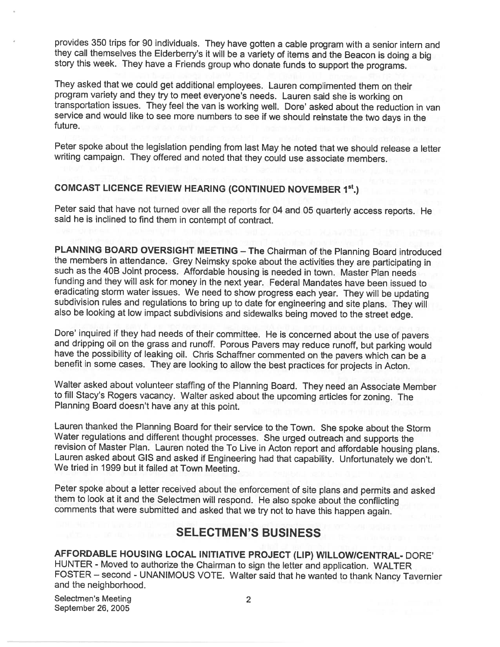provides <sup>350</sup> trips for <sup>90</sup> individuals. They have gotten <sup>a</sup> cable program with <sup>a</sup> senior intern and they call themselves the Elderberry's it will be <sup>a</sup> variety of items and the Beacon is doing <sup>a</sup> big story this week. They have <sup>a</sup> Friends group who donate funds to support the programs.

They asked that we could get additional employees. Lauren complimented them on their<br>program variety and they try to meet everyone's needs. Lauren said she is working on transportation issues. They feel the van is working well. Dore' asked about the reduction in van service and would like to see more numbers to see if we should reinstate the two days in the future.

Peter spoke about the legislation pending from last May he noted that we should release <sup>a</sup> letter writing campaign. They offered and noted that they could use associate members.

#### COMCAST LICENCE REVIEW HEARING (CONTINUED NOVEMBER 1st.)

Peter said that have not turned over all the reports for <sup>04</sup> and <sup>05</sup> quarterly access reports. He said he is inclined to find them in contempt of contract.

PLANNING BOARD OVERSIGHT MEETING – The Chairman of the Planning Board introduced<br>the members in attendance. Grey Neimsky spoke about the activities they are participating in<br>such as the 40B Joint process. Affordable housin funding and they will ask for money in the next year. Federal Mandates have been issued to eradicating storm water issues. We need to show progress each year. They will be updating subdivision rules and regulations to bring up to date for engineering and site plans. They will also be looking at low impact subdivisions and sidewalks being moved to the street edge.

Dore' inquired if they had needs of their committee. He is concerned about the use of pavers<br>and dripping oil on the grass and runoff. Porous Pavers may reduce runoff, but parking would<br>have the possibility of leaking oil.

Walter asked about volunteer staffing of the Planning Board. They need an Associate Member to fill Stacy's Rogers vacancy. Walter asked about the upcoming articles for zoning. The Planning Board doesn't have any at this point.

Lauren thanked the Planning Board for their service to the Town. She spoke about the Storm<br>Water requiations and different thought processes. She urged outreach and supports the revision of Master Plan. Lauren noted the To Live in Acton report and affordable housing plans.<br>Lauren asked about GIS and asked if Engineering had that capability. Unfortunately we don't.<br>We tried in 1999 but it failed at

Peter spoke about <sup>a</sup> letter received about the enforcement of site <sup>p</sup>lans and permits and asked them to look at it and the Selectmen will respond. He also spoke about the conflicting comments that were submitted and asked that we try not to have this happen again.

### SELECTMEN'S BUSINESS

AFFORDABLE HOUSING LOCAL INITIATIVE PROJECT (LIP) WILLOW/CENTRAL- DORE' HUNTER - Moved to authorize the Chairman to sign the letter and application. WALTER FOSTER — second - UNANIMOUS VOTE. Walter said that he wanted to thank Nancy Tavernier and the neighborhood.

Selectmen's Meeting 2 September 26, 2005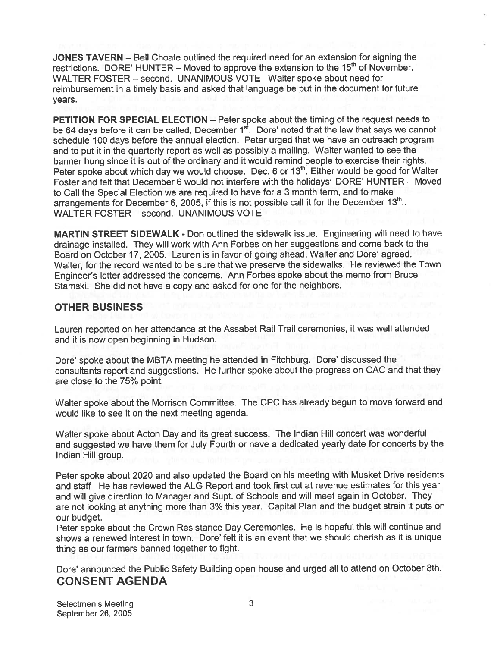JONES TAVERN — Bell Choate outlined the required need for an extension for signing the restrictions. DORE' HUNTER – Moved to approve the extension to the  $15<sup>th</sup>$  of November. WALTER FOSTER – second. UNANIMOUS VOTE Walter spoke about need for reimbursement in <sup>a</sup> timely basis and asked that language be pu<sup>t</sup> in the document for future years.

PETITION FOR SPECIAL ELECTION — Peter spoke about the timing of the reques<sup>t</sup> needs to be 64 days before it can be called, December  $1<sup>st</sup>$ . Dore' noted that the law that says we cannot schedule 100 days before the annual election. Peter urged that we have an outreach program and to pu<sup>t</sup> it in the quarterly repor<sup>t</sup> as well as possibly <sup>a</sup> mailing. Walter wanted to see the banner hung since it is out of the ordinary and it would remind people to exercise their rights. Peter spoke about which day we would choose. Dec. 6 or  $13<sup>th</sup>$ . Either would be good for Walter Foster and felt that December 6 would not interfere with the holidays DORE' HUNTER - Moved to Call the Special Election we are required to have for <sup>a</sup> 3 month term, and to make arrangements for December 6, 2005, if this is not possible call it for the December  $13<sup>th</sup>$ . WALTER FOSTER — second. UNANIMOUS VOTE

MARTIN STREET SIDEWALK - Don outlined the sidewalk issue. Engineering will need to have drainage installed. They will work with Ann Forbes on her suggestions and come back to the Board on October 17, 2005. Lauren is in favor of going ahead, Walter and Dore' agreed. Walter, for the record wanted to be sure that we preserve the sidewalks. He reviewed the Town Engineer's letter addressed the concerns. Ann Forbes spoke about the memo from Bruce Stamski. She did not have <sup>a</sup> copy and asked for one for the neighbors.

#### OTHER BUSINESS

Lauren reported on her attendance at the Assabet Rail Trail ceremonies, it was well attended and it is now open beginning in Hudson.

Dore' spoke about the MBTA meeting he attended in Fitchburg. Dore' discussed the consultants repor<sup>t</sup> and suggestions. He further spoke about the progress on CAC and that they are close to the 75% point.

Walter spoke about the Morrison Committee. The CPC has already begun to move forward and would like to see it on the next meeting agenda.

Walter spoke about Acton Day and its grea<sup>t</sup> success. The Indian Hill concert was wonderful and suggested we have them for July Fourth or have <sup>a</sup> dedicated yearly date for concerts by the Indian Hill group.

Peter spoke about <sup>2020</sup> and also updated the Board on his meeting with Musket Drive residents and staff He has reviewed the ALG Report and took first cut at revenue estimates for this year and will <sup>g</sup>ive direction to Manager and Supt. of Schools and will meet again in October. They are not looking at anything more than 3% this year. Capital Plan and the budget strain it puts on our budget.

Peter spoke about the Crown Resistance Day Ceremonies. He is hopeful this will continue and shows a renewed interest in town. Dore' felt it is an event that we should cherish as it is unique thing as our farmers banned together to fight.

Dore' announced the Public Safety Building open house and urge<sup>d</sup> all to attend on October 8th. CONSENT AGENDA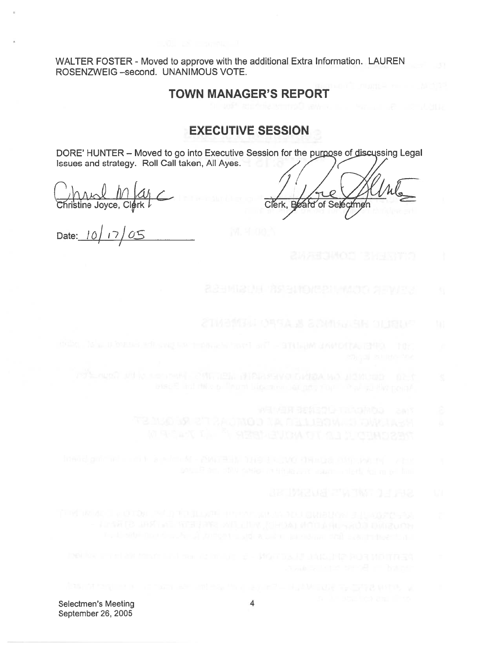WALTER FOSTER - Moved to approve with the additional Extra Information. LAUREN ROSENZWEIG —second. UNANIMOUS VOTE.

#### TOWN MANAGER'S REPORT

## EXECUTIVE SESSION

DORE' HUNTER - Moved to go into Executive Session for the purpose of discussing Legal Issues and strategy. Roll Call taken, All Ayes.

Christine Joyce, Clerk

Clerk. of Selectmen

Date:  $10/17/05$ 

- 
- 
- - -
		-
- -
- -
-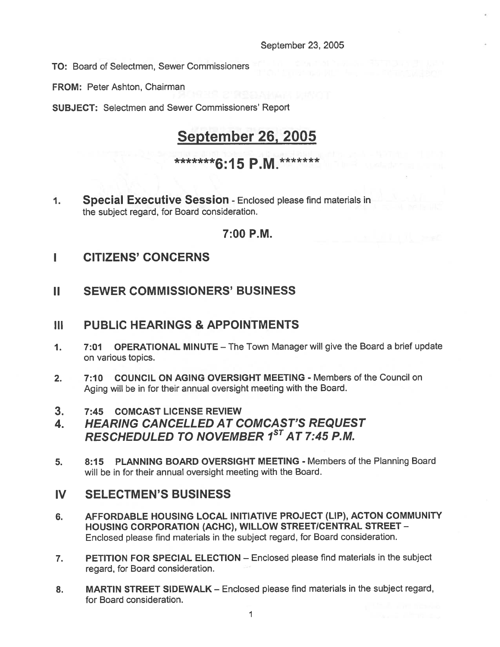#### September 23, 2005

TO: Board of Selectmen, Sewer Commissioners

FROM: Peter Ashton, Chairman

SUBJECT: Selectmen and Sewer Commissioners' Report

# September 26, 2005

# \*\*\*\*\*\*\*6:15 P.M.\*\*\*\*\*\*\*

1. Special Executive Session - Enclosed please find materials in the subject regard, for Board consideration.

#### 7:00 P.M.

- I CITIZENS' CONCERNS
- II SEWER COMMISSIONERS' BUSINESS

### III PUBLIC HEARINGS & APPOINTMENTS

- 1. 7:01 OPERATIONAL MINUTE The Town Manager will give the Board <sup>a</sup> brief update on various topics.
- 2. 7:10 COUNCIL ON AGING OVERSIGHT MEETING Members of the Council on Aging will be in for their annual oversight meeting with the Board.
- 3. 7:45 COMCAST LICENSE REVIEW
- 4. HEARING CANCELLED AT COMCAST'S REQUEST RESCHEDULED TO NOVEMBER 1ST AT 7:45 P.M.
- 5. 8:15 PLANNING BOARD OVERSIGHT MEETING Members of the Planning Board will be in for their annual oversight meeting with the Board.

### IV SELECTMEN'S BUSINESS

- 6. AFFORDABLE HOUSING LOCAL INITIATIVE PROJECT (LIP), ACTON COMMUNITY HOUSING CORPORATION (ACHC), WILLOW STREET/CENTRAL STREET - Enclosed <sup>p</sup>lease find materials in the subject regard, for Board consideration.
- 7. PETITION FOR SPECIAL ELECTION Enclosed please find materials in the subject regard, for Board consideration.
- 8. MARTIN STREET SIDEWALK Enclosed please find materials in the subject regard, for Board consideration.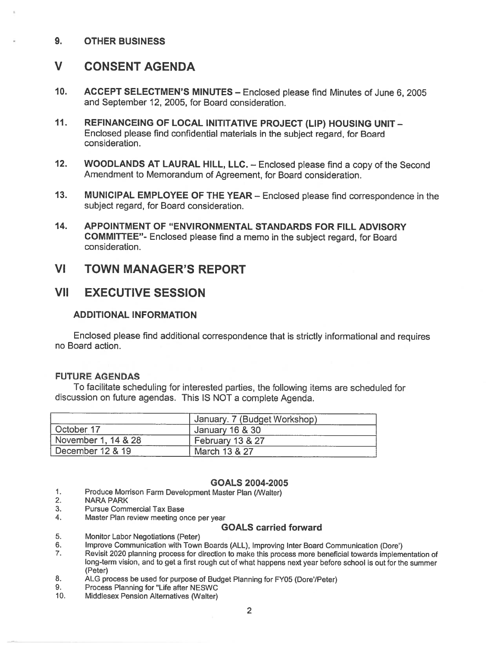#### 9. OTHER BUSINESS

# V CONSENT AGENDA

- 10. ACCEPT SELECTMEN'S MINUTES Enclosed <sup>p</sup>lease find Minutes of June 6, <sup>2005</sup> and September 12, 2005, for Board consideration.
- 11. REFINANCEING OF LOCAL INITITATIVE PROJECT (LIP) HOUSING UNIT— Enclosed <sup>p</sup>lease find confidential materials in the subject regard, for Board consideration.
- 12. WOODLANDS AT LAURAL HILL, LLC. Enclosed please find a copy of the Second Amendment to Memorandum of Agreement, for Board consideration.
- 13. MUNICIPAL EMPLOYEE OF THE YEAR Enclosed <sup>p</sup>lease find correspondence in the subject regard, for Board consideration.
- 14. APPOINTMENT OF "ENVIRONMENTAL STANDARDS FOR FILL ADVISORY COMMITTEE"- Enclosed <sup>p</sup>lease find <sup>a</sup> memo in the subject regard, for Board consideration.

#### VI TOWN MANAGER'S REPORT

#### VII EXECUTIVE SESSION

#### ADDITIONAL INFORMATION

Enclosed <sup>p</sup>lease find additional correspondence that is strictly informational and requires no Board action.

#### FUTURE AGENDAS

To facilitate scheduling for interested parties, the following items are scheduled for discussion on future agendas. This IS NOT <sup>a</sup> complete Agenda.

|                     | January. 7 (Budget Workshop) |  |
|---------------------|------------------------------|--|
| October 17          | January 16 & 30              |  |
| November 1, 14 & 28 | February 13 & 27             |  |
| December 12 & 19    | March 13 & 27                |  |

#### GOALS 2004-2005

- 1. Produce Morrison Farm Development Master Plan (Walter)<br>2. NARA PARK
- **NARA PARK**
- 3. Pursue Commercial Tax Base
- 4. Master Plan review meeting once per year

#### GOALS carried forward

- 5. Monitor Labor Negotiations (Peter)
- 6. Improve Communication with Town Boards (ALL), Improving Inter Board Communication (Dore')
- Revisit 2020 planning process for direction to make this process more beneficial towards implementation of long-term vision, and to ge<sup>t</sup> <sup>a</sup> first roug<sup>h</sup> cut of what happens next year before school is out for the summer (Peter)
- 8. ALG process be used for purpose of Budget Planning for FY05 (Dore'/Peter)<br>9
- Process Planning for "Life after NESWC
- 10. Middlesex Pension Alternatives (Walter)